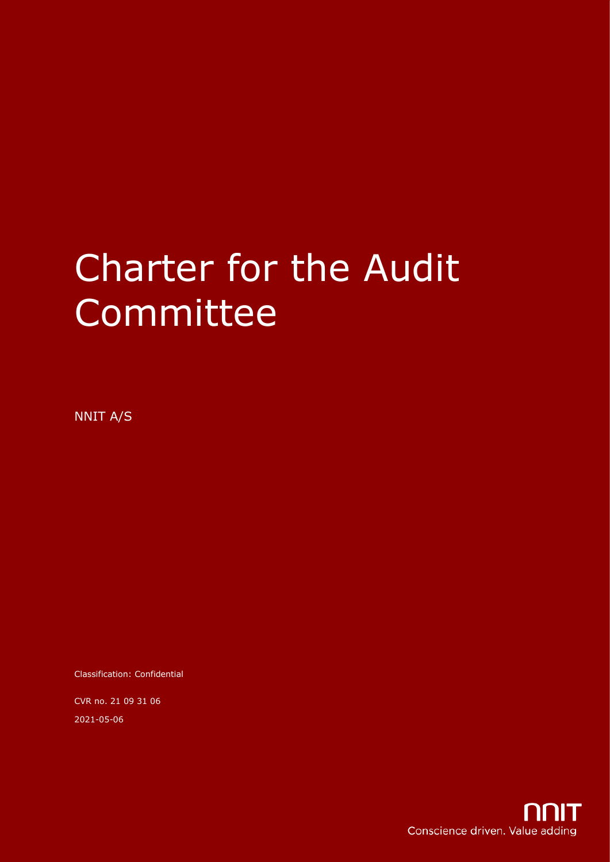# Charter for the Audit Committee

NNIT A/S

Classification: Confidential

CVR no. 21 09 31 06 2021-05-06

Conscience driven. Value adding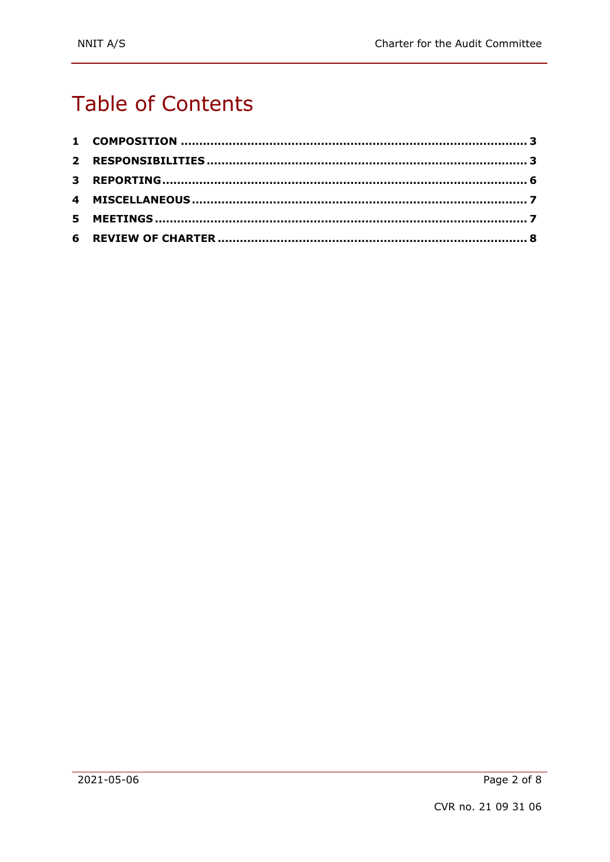# **Table of Contents**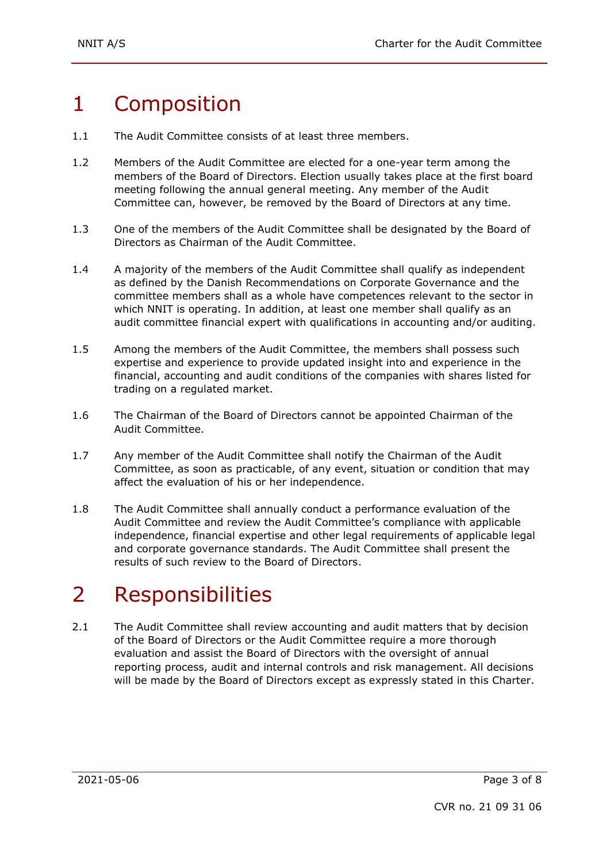## 1 Composition

- 1.1 The Audit Committee consists of at least three members.
- 1.2 Members of the Audit Committee are elected for a one-year term among the members of the Board of Directors. Election usually takes place at the first board meeting following the annual general meeting. Any member of the Audit Committee can, however, be removed by the Board of Directors at any time.
- 1.3 One of the members of the Audit Committee shall be designated by the Board of Directors as Chairman of the Audit Committee.
- 1.4 A majority of the members of the Audit Committee shall qualify as independent as defined by the Danish Recommendations on Corporate Governance and the committee members shall as a whole have competences relevant to the sector in which NNIT is operating. In addition, at least one member shall qualify as an audit committee financial expert with qualifications in accounting and/or auditing.
- 1.5 Among the members of the Audit Committee, the members shall possess such expertise and experience to provide updated insight into and experience in the financial, accounting and audit conditions of the companies with shares listed for trading on a regulated market.
- 1.6 The Chairman of the Board of Directors cannot be appointed Chairman of the Audit Committee.
- 1.7 Any member of the Audit Committee shall notify the Chairman of the Audit Committee, as soon as practicable, of any event, situation or condition that may affect the evaluation of his or her independence.
- 1.8 The Audit Committee shall annually conduct a performance evaluation of the Audit Committee and review the Audit Committee's compliance with applicable independence, financial expertise and other legal requirements of applicable legal and corporate governance standards. The Audit Committee shall present the results of such review to the Board of Directors.

# 2 Responsibilities

2.1 The Audit Committee shall review accounting and audit matters that by decision of the Board of Directors or the Audit Committee require a more thorough evaluation and assist the Board of Directors with the oversight of annual reporting process, audit and internal controls and risk management. All decisions will be made by the Board of Directors except as expressly stated in this Charter.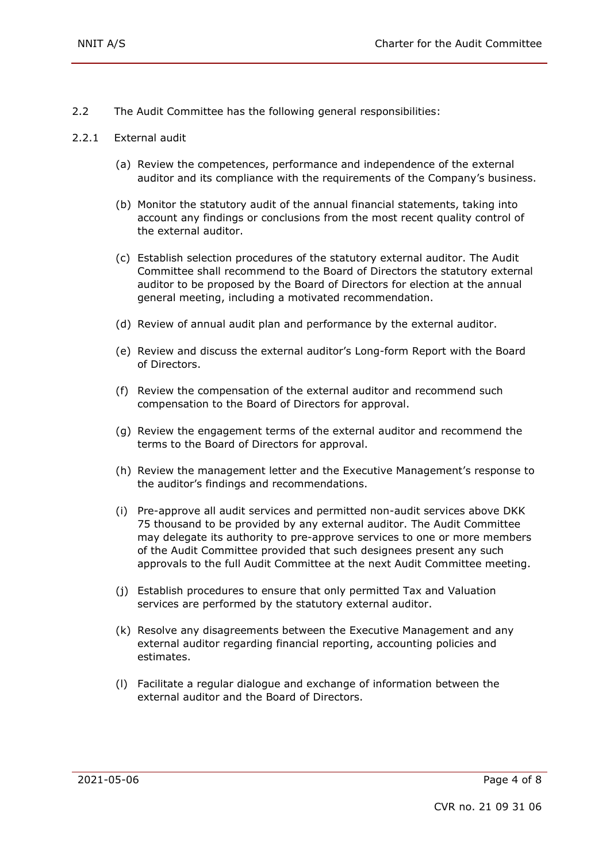- 2.2 The Audit Committee has the following general responsibilities:
- 2.2.1 External audit
	- (a) Review the competences, performance and independence of the external auditor and its compliance with the requirements of the Company's business.
	- (b) Monitor the statutory audit of the annual financial statements, taking into account any findings or conclusions from the most recent quality control of the external auditor.
	- (c) Establish selection procedures of the statutory external auditor. The Audit Committee shall recommend to the Board of Directors the statutory external auditor to be proposed by the Board of Directors for election at the annual general meeting, including a motivated recommendation.
	- (d) Review of annual audit plan and performance by the external auditor.
	- (e) Review and discuss the external auditor's Long-form Report with the Board of Directors.
	- (f) Review the compensation of the external auditor and recommend such compensation to the Board of Directors for approval.
	- (g) Review the engagement terms of the external auditor and recommend the terms to the Board of Directors for approval.
	- (h) Review the management letter and the Executive Management's response to the auditor's findings and recommendations.
	- (i) Pre-approve all audit services and permitted non-audit services above DKK 75 thousand to be provided by any external auditor. The Audit Committee may delegate its authority to pre-approve services to one or more members of the Audit Committee provided that such designees present any such approvals to the full Audit Committee at the next Audit Committee meeting.
	- (j) Establish procedures to ensure that only permitted Tax and Valuation services are performed by the statutory external auditor.
	- (k) Resolve any disagreements between the Executive Management and any external auditor regarding financial reporting, accounting policies and estimates.
	- (l) Facilitate a regular dialogue and exchange of information between the external auditor and the Board of Directors.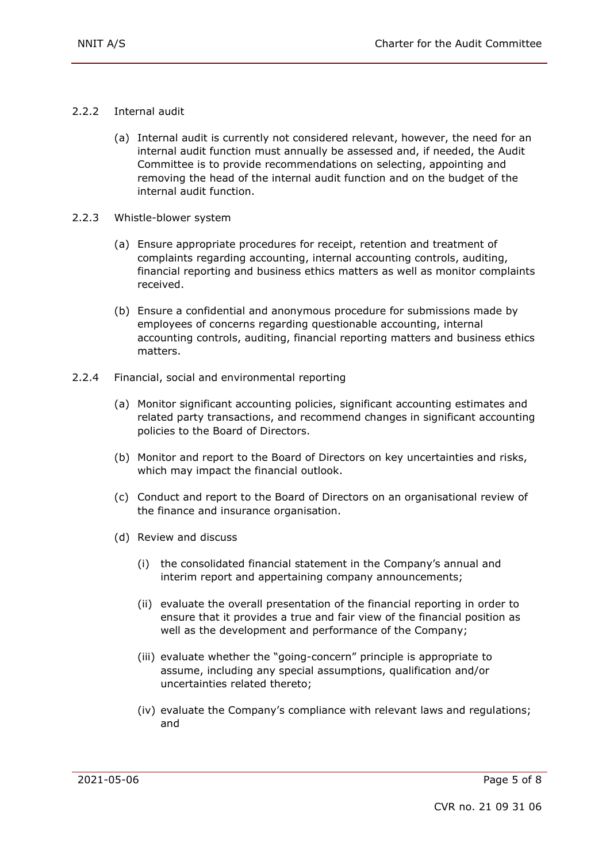- 2.2.2 Internal audit
	- (a) Internal audit is currently not considered relevant, however, the need for an internal audit function must annually be assessed and, if needed, the Audit Committee is to provide recommendations on selecting, appointing and removing the head of the internal audit function and on the budget of the internal audit function.
- 2.2.3 Whistle-blower system
	- (a) Ensure appropriate procedures for receipt, retention and treatment of complaints regarding accounting, internal accounting controls, auditing, financial reporting and business ethics matters as well as monitor complaints received.
	- (b) Ensure a confidential and anonymous procedure for submissions made by employees of concerns regarding questionable accounting, internal accounting controls, auditing, financial reporting matters and business ethics matters.
- 2.2.4 Financial, social and environmental reporting
	- (a) Monitor significant accounting policies, significant accounting estimates and related party transactions, and recommend changes in significant accounting policies to the Board of Directors.
	- (b) Monitor and report to the Board of Directors on key uncertainties and risks, which may impact the financial outlook.
	- (c) Conduct and report to the Board of Directors on an organisational review of the finance and insurance organisation.
	- (d) Review and discuss
		- (i) the consolidated financial statement in the Company's annual and interim report and appertaining company announcements;
		- (ii) evaluate the overall presentation of the financial reporting in order to ensure that it provides a true and fair view of the financial position as well as the development and performance of the Company;
		- (iii) evaluate whether the "going-concern" principle is appropriate to assume, including any special assumptions, qualification and/or uncertainties related thereto;
		- (iv) evaluate the Company's compliance with relevant laws and regulations; and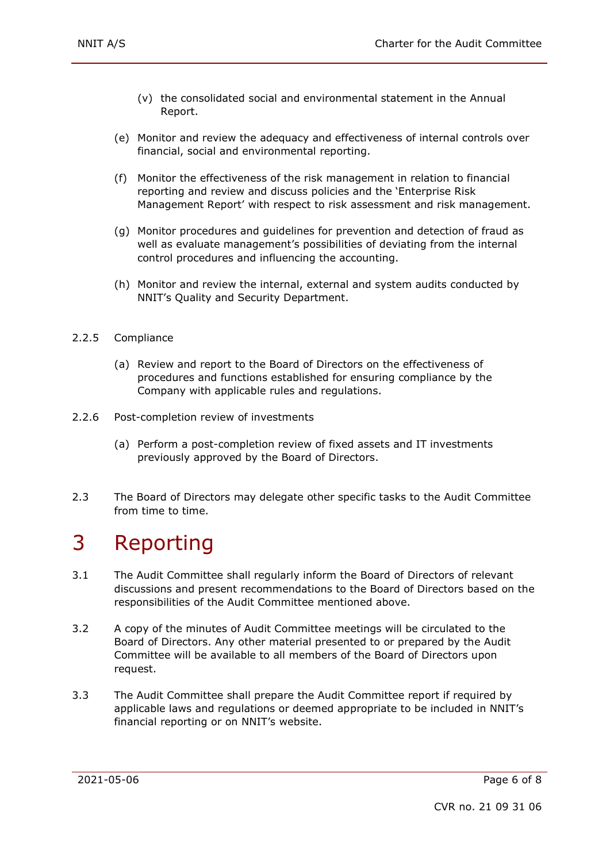- (v) the consolidated social and environmental statement in the Annual Report.
- (e) Monitor and review the adequacy and effectiveness of internal controls over financial, social and environmental reporting.
- (f) Monitor the effectiveness of the risk management in relation to financial reporting and review and discuss policies and the 'Enterprise Risk Management Report' with respect to risk assessment and risk management.
- (g) Monitor procedures and guidelines for prevention and detection of fraud as well as evaluate management's possibilities of deviating from the internal control procedures and influencing the accounting.
- (h) Monitor and review the internal, external and system audits conducted by NNIT's Quality and Security Department.
- 2.2.5 Compliance
	- (a) Review and report to the Board of Directors on the effectiveness of procedures and functions established for ensuring compliance by the Company with applicable rules and regulations.
- 2.2.6 Post-completion review of investments
	- (a) Perform a post-completion review of fixed assets and IT investments previously approved by the Board of Directors.
- 2.3 The Board of Directors may delegate other specific tasks to the Audit Committee from time to time.

#### 3 Reporting

- 3.1 The Audit Committee shall regularly inform the Board of Directors of relevant discussions and present recommendations to the Board of Directors based on the responsibilities of the Audit Committee mentioned above.
- 3.2 A copy of the minutes of Audit Committee meetings will be circulated to the Board of Directors. Any other material presented to or prepared by the Audit Committee will be available to all members of the Board of Directors upon request.
- 3.3 The Audit Committee shall prepare the Audit Committee report if required by applicable laws and regulations or deemed appropriate to be included in NNIT's financial reporting or on NNIT's website.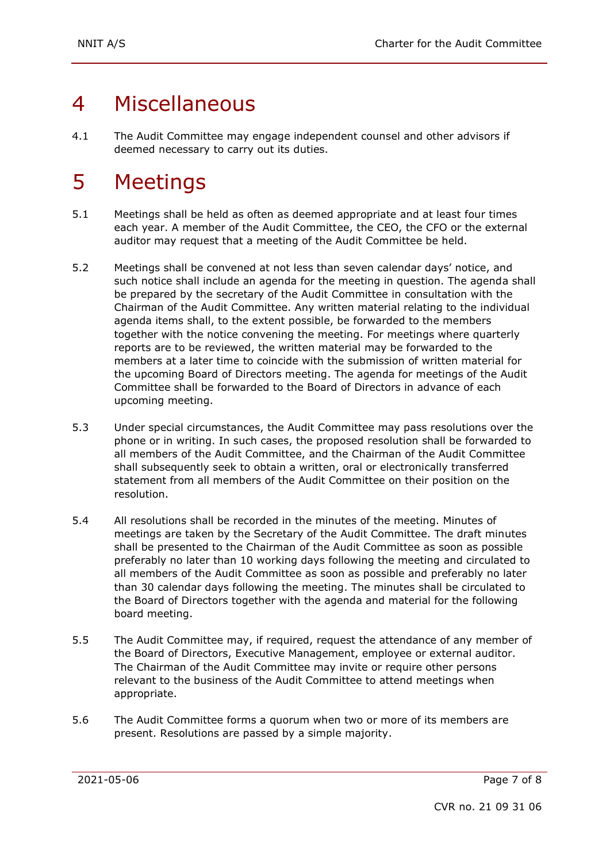# 4 Miscellaneous

4.1 The Audit Committee may engage independent counsel and other advisors if deemed necessary to carry out its duties.

# 5 Meetings

- 5.1 Meetings shall be held as often as deemed appropriate and at least four times each year. A member of the Audit Committee, the CEO, the CFO or the external auditor may request that a meeting of the Audit Committee be held.
- 5.2 Meetings shall be convened at not less than seven calendar days' notice, and such notice shall include an agenda for the meeting in question. The agenda shall be prepared by the secretary of the Audit Committee in consultation with the Chairman of the Audit Committee. Any written material relating to the individual agenda items shall, to the extent possible, be forwarded to the members together with the notice convening the meeting. For meetings where quarterly reports are to be reviewed, the written material may be forwarded to the members at a later time to coincide with the submission of written material for the upcoming Board of Directors meeting. The agenda for meetings of the Audit Committee shall be forwarded to the Board of Directors in advance of each upcoming meeting.
- 5.3 Under special circumstances, the Audit Committee may pass resolutions over the phone or in writing. In such cases, the proposed resolution shall be forwarded to all members of the Audit Committee, and the Chairman of the Audit Committee shall subsequently seek to obtain a written, oral or electronically transferred statement from all members of the Audit Committee on their position on the resolution.
- 5.4 All resolutions shall be recorded in the minutes of the meeting. Minutes of meetings are taken by the Secretary of the Audit Committee. The draft minutes shall be presented to the Chairman of the Audit Committee as soon as possible preferably no later than 10 working days following the meeting and circulated to all members of the Audit Committee as soon as possible and preferably no later than 30 calendar days following the meeting. The minutes shall be circulated to the Board of Directors together with the agenda and material for the following board meeting.
- 5.5 The Audit Committee may, if required, request the attendance of any member of the Board of Directors, Executive Management, employee or external auditor. The Chairman of the Audit Committee may invite or require other persons relevant to the business of the Audit Committee to attend meetings when appropriate.
- 5.6 The Audit Committee forms a quorum when two or more of its members are present. Resolutions are passed by a simple majority.